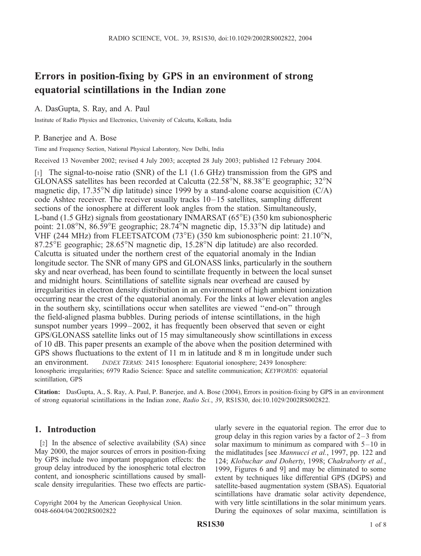# Errors in position-fixing by GPS in an environment of strong equatorial scintillations in the Indian zone

A. DasGupta, S. Ray, and A. Paul

Institute of Radio Physics and Electronics, University of Calcutta, Kolkata, India

#### P. Banerjee and A. Bose

Time and Frequency Section, National Physical Laboratory, New Delhi, India

Received 13 November 2002; revised 4 July 2003; accepted 28 July 2003; published 12 February 2004.

[1] The signal-to-noise ratio (SNR) of the L1 (1.6 GHz) transmission from the GPS and GLONASS satellites has been recorded at Calcutta  $(22.58^{\circ}N, 88.38^{\circ}E$  geographic;  $32^{\circ}N$ magnetic dip,  $17.35^{\circ}$ N dip latitude) since 1999 by a stand-alone coarse acquisition (C/A) code Ashtec receiver. The receiver usually tracks 10–15 satellites, sampling different sections of the ionosphere at different look angles from the station. Simultaneously, L-band (1.5 GHz) signals from geostationary INMARSAT (65E) (350 km subionospheric point:  $21.08^{\circ}$ N,  $86.59^{\circ}$ E geographic;  $28.74^{\circ}$ N magnetic dip,  $15.33^{\circ}$ N dip latitude) and VHF (244 MHz) from FLEETSATCOM (73 $^{\circ}$ E) (350 km subionospheric point: 21.10 $^{\circ}$ N, 87.25°E geographic; 28.65°N magnetic dip, 15.28°N dip latitude) are also recorded. Calcutta is situated under the northern crest of the equatorial anomaly in the Indian longitude sector. The SNR of many GPS and GLONASS links, particularly in the southern sky and near overhead, has been found to scintillate frequently in between the local sunset and midnight hours. Scintillations of satellite signals near overhead are caused by irregularities in electron density distribution in an environment of high ambient ionization occurring near the crest of the equatorial anomaly. For the links at lower elevation angles in the southern sky, scintillations occur when satellites are viewed ''end-on'' through the field-aligned plasma bubbles. During periods of intense scintillations, in the high sunspot number years 1999–2002, it has frequently been observed that seven or eight GPS/GLONASS satellite links out of 15 may simultaneously show scintillations in excess of 10 dB. This paper presents an example of the above when the position determined with GPS shows fluctuations to the extent of 11 m in latitude and 8 m in longitude under such an environment. *INDEX TERMS:* 2415 Ionosphere: Equatorial ionosphere; 2439 Ionosphere: Ionospheric irregularities; 6979 Radio Science: Space and satellite communication; *KEYWORDS:* equatorial scintillation, GPS

Citation: DasGupta, A., S. Ray, A. Paul, P. Banerjee, and A. Bose (2004), Errors in position-fixing by GPS in an environment of strong equatorial scintillations in the Indian zone, *Radio Sci.*, *39*, RS1S30, doi:10.1029/2002RS002822.

# 1. Introduction

[2] In the absence of selective availability (SA) since May 2000, the major sources of errors in position-fixing by GPS include two important propagation effects: the group delay introduced by the ionospheric total electron content, and ionospheric scintillations caused by smallscale density irregularities. These two effects are partic-

Copyright 2004 by the American Geophysical Union. 0048-6604/04/2002RS002822

ularly severe in the equatorial region. The error due to group delay in this region varies by a factor of  $2-3$  from solar maximum to minimum as compared with  $5 - 10$  in the midlatitudes [see *Mannucci et al.*, 1997, pp. 122 and 124; *Klobuchar and Doherty*, 1998; *Chakraborty et al.*, 1999, Figures 6 and 9] and may be eliminated to some extent by techniques like differential GPS (DGPS) and satellite-based augmentation system (SBAS). Equatorial scintillations have dramatic solar activity dependence, with very little scintillations in the solar minimum years. During the equinoxes of solar maxima, scintillation is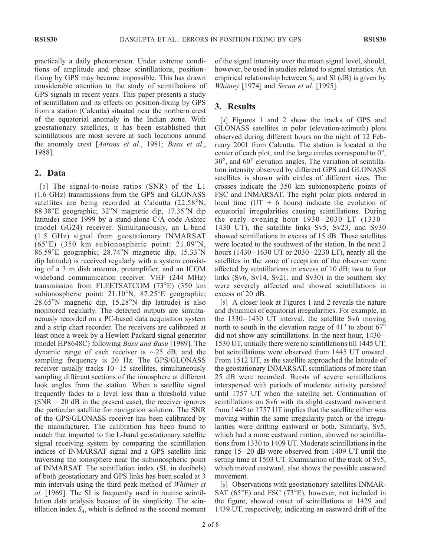practically a daily phenomenon. Under extreme conditions of amplitude and phase scintillations, positionfixing by GPS may become impossible. This has drawn considerable attention to the study of scintillations of GPS signals in recent years. This paper presents a study of scintillation and its effects on position-fixing by GPS from a station (Calcutta) situated near the northern crest of the equatorial anomaly in the Indian zone. With geostationary satellites, it has been established that scintillations are most severe at such locations around the anomaly crest [*Aarons et al.*, 1981; *Basu et al.*, 1988].

# 2. Data

[3] The signal-to-noise ratios (SNR) of the L1 (1.6 GHz) transmissions from the GPS and GLONASS satellites are being recorded at Calcutta  $(22.58^{\circ}N,$  $88.38^{\circ}$ E geographic;  $32^{\circ}$ N magnetic dip,  $17.35^{\circ}$ N dip latitude) since 1999 by a stand-alone C/A code Ashtec (model GG24) receiver. Simultaneously, an L-band (1.5 GHz) signal from geostationary INMARSAT  $(65^{\circ}E)$  (350 km subionospheric point: 21.09 $^{\circ}N$ , 86.59°E geographic; 28.74°N magnetic dip, 15.33°N dip latitude) is received regularly with a system consisting of a 3 m dish antenna, preamplifier, and an ICOM wideband communication receiver. VHF (244 MHz) transmission from FLEETSATCOM  $(73^{\circ}E)$  (350 km subionospheric point:  $21.10^{\circ}$ N,  $87.25^{\circ}$ E geographic;  $28.65^{\circ}$ N magnetic dip,  $15.28^{\circ}$ N dip latitude) is also monitored regularly. The detected outputs are simultaneously recorded on a PC-based data acquisition system and a strip chart recorder. The receivers are calibrated at least once a week by a Hewlett Packard signal generator (model HP8648C) following *Basu and Basu* [1989]. The dynamic range of each receiver is  $\sim$ 25 dB, and the sampling frequency is 20 Hz. The GPS/GLONASS receiver usually tracks  $10-15$  satellites, simultaneously sampling different sections of the ionosphere at different look angles from the station. When a satellite signal frequently fades to a level less than a threshold value  $(SNR = 20$  dB in the present case), the receiver ignores the particular satellite for navigation solution. The SNR of the GPS/GLONASS receiver has been calibrated by the manufacturer. The calibration has been found to match that imparted to the L-band geostationary satellite signal receiving system by comparing the scintillation indices of INMARSAT signal and a GPS satellite link traversing the ionosphere near the subionospheric point of INMARSAT. The scintillation index (SI, in decibels) of both geostationary and GPS links has been scaled at 3 min intervals using the third peak method of *Whitney et al.* [1969]. The SI is frequently used in routine scintillation data analysis because of its simplicity. The scintillation index *S*<sup>4</sup> , which is defined as the second moment

of the signal intensity over the mean signal level, should, however, be used in studies related to signal statistics. An empirical relationship between *S*<sup>4</sup> and SI (dB) is given by *Whitney* [1974] and *Secan et al.* [1995].

# 3. Results

[4] Figures 1 and 2 show the tracks of GPS and GLONASS satellites in polar (elevation-azimuth) plots observed during different hours on the night of 12 February 2001 from Calcutta. The station is located at the center of each plot, and the large circles correspond to  $0^{\circ}$ ,  $30^{\circ}$ , and  $60^{\circ}$  elevation angles. The variation of scintillation intensity observed by different GPS and GLONASS satellites is shown with circles of different sizes. The crosses indicate the 350 km subionospheric points of FSC and INMARSAT. The eight polar plots ordered in local time  $(UT + 6$  hours) indicate the evolution of equatorial irregularities causing scintillations. During the early evening hour  $1930-2030$  LT  $(1330-$ 1430 UT), the satellite links Sv5, Sv23, and Sv30 showed scintillations in excess of 15 dB. These satellites were located to the southwest of the station. In the next 2 hours (1430–1630 UT or 2030–2230 LT), nearly all the satellites in the zone of reception of the observer were affected by scintillations in excess of 10 dB; two to four links (Sv6, Sv14, Sv21, and Sv30) in the southern sky were severely affected and showed scintillations in excess of 20 dB.

[5] A closer look at Figures 1 and 2 reveals the nature and dynamics of equatorial irregularities. For example, in the 1330– 1430 UT interval, the satellite Sv6 moving north to south in the elevation range of  $41^{\circ}$  to about  $67^{\circ}$ did not show any scintillations. In the next hour, 1430– 1530 UT, initially there were no scintillations till 1445 UT, but scintillations were observed from 1445 UT onward. From 1512 UT, as the satellite approached the latitude of the geostationary INMARSAT, scintillations of more than 25 dB were recorded. Bursts of severe scintillations interspersed with periods of moderate activity persisted until 1757 UT when the satellite set. Continuation of scintillations on Sv6 with its slight eastward movement from 1445 to 1757 UT implies that the satellite either was moving within the same irregularity patch or the irregularities were drifting eastward or both. Similarly, Sv5, which had a more eastward motion, showed no scintillations from 1330 to 1409 UT. Moderate scintillations in the range 15–20 dB were observed from 1409 UT until the setting time at 1503 UT. Examination of the track of Sv5, which moved eastward, also shows the possible eastward movement.

[6] Observations with geostationary satellites INMAR-SAT  $(65^{\circ}E)$  and FSC  $(73^{\circ}E)$ , however, not included in the figure, showed onset of scintillations at 1429 and 1439 UT, respectively, indicating an eastward drift of the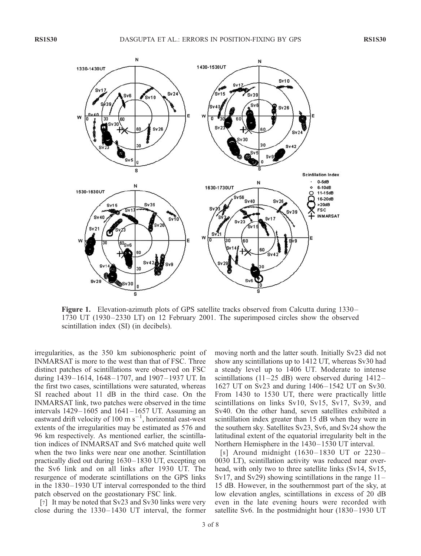

Figure 1. Elevation-azimuth plots of GPS satellite tracks observed from Calcutta during 1330– 1730 UT (1930–2330 LT) on 12 February 2001. The superimposed circles show the observed scintillation index (SI) (in decibels).

irregularities, as the 350 km subionospheric point of INMARSAT is more to the west than that of FSC. Three distinct patches of scintillations were observed on FSC during 1439– 1614, 1648– 1707, and 1907– 1937 UT. In the first two cases, scintillations were saturated, whereas SI reached about 11 dB in the third case. On the INMARSAT link, two patches were observed in the time intervals  $1429-1605$  and  $1641-1657$  UT. Assuming an eastward drift velocity of  $100 \text{ m s}^{-1}$ , horizontal east-west extents of the irregularities may be estimated as 576 and 96 km respectively. As mentioned earlier, the scintillation indices of INMARSAT and Sv6 matched quite well when the two links were near one another. Scintillation practically died out during 1630 –1830 UT, excepting on the Sv6 link and on all links after 1930 UT. The resurgence of moderate scintillations on the GPS links in the 1830–1930 UT interval corresponded to the third patch observed on the geostationary FSC link.

[7] It may be noted that Sv23 and Sv30 links were very close during the  $1330-1430$  UT interval, the former moving north and the latter south. Initially Sv23 did not show any scintillations up to 1412 UT, whereas Sv30 had a steady level up to 1406 UT. Moderate to intense scintillations (11–25 dB) were observed during  $1412-$ 1627 UT on Sv23 and during 1406– 1542 UT on Sv30. From 1430 to 1530 UT, there were practically little scintillations on links Sv10, Sv15, Sv17, Sv39, and Sv40. On the other hand, seven satellites exhibited a scintillation index greater than 15 dB when they were in the southern sky. Satellites Sv23, Sv6, and Sv24 show the latitudinal extent of the equatorial irregularity belt in the Northern Hemisphere in the 1430–1530 UT interval.

[8] Around midnight  $(1630-1830 \text{ UT})$  or  $2230-$ 0030 LT), scintillation activity was reduced near overhead, with only two to three satellite links (Sv14, Sv15, Sv17, and Sv29) showing scintillations in the range  $11-$ 15 dB. However, in the southernmost part of the sky, at low elevation angles, scintillations in excess of 20 dB even in the late evening hours were recorded with satellite Sv6. In the postmidnight hour (1830–1930 UT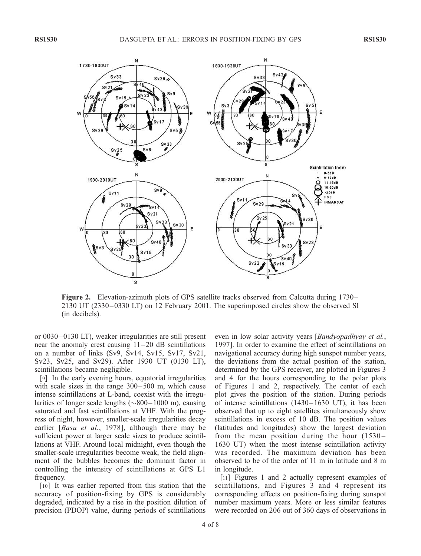

Figure 2. Elevation-azimuth plots of GPS satellite tracks observed from Calcutta during 1730– 2130 UT (2330 – 0330 LT) on 12 February 2001. The superimposed circles show the observed SI (in decibels).

or 0030 – 0130 LT), weaker irregularities are still present near the anomaly crest causing  $11 - 20$  dB scintillations on a number of links (Sv9, Sv14, Sv15, Sv17, Sv21, Sv23, Sv25, and Sv29). After 1930 UT (0130 LT), scintillations became negligible.

[9] In the early evening hours, equatorial irregularities with scale sizes in the range  $300-500$  m, which cause intense scintillations at L-band, coexist with the irregularities of longer scale lengths  $(\sim 800 - 1000 \text{ m})$ , causing saturated and fast scintillations at VHF. With the progress of night, however, smaller-scale irregularities decay earlier [*Basu et al.*, 1978], although there may be sufficient power at larger scale sizes to produce scintillations at VHF. Around local midnight, even though the smaller-scale irregularities become weak, the field alignment of the bubbles becomes the dominant factor in controlling the intensity of scintillations at GPS L1 frequency.

[10] It was earlier reported from this station that the accuracy of position-fixing by GPS is considerably degraded, indicated by a rise in the position dilution of precision (PDOP) value, during periods of scintillations

even in low solar activity years [*Bandyopadhyay et al.*, 1997]. In order to examine the effect of scintillations on navigational accuracy during high sunspot number years, the deviations from the actual position of the station, determined by the GPS receiver, are plotted in Figures 3 and 4 for the hours corresponding to the polar plots of Figures 1 and 2, respectively. The center of each plot gives the position of the station. During periods of intense scintillations  $(1430-1630 \text{ UT})$ , it has been observed that up to eight satellites simultaneously show scintillations in excess of 10 dB. The position values (latitudes and longitudes) show the largest deviation from the mean position during the hour (1530 – 1630 UT) when the most intense scintillation activity was recorded. The maximum deviation has been observed to be of the order of 11 m in latitude and 8 m in longitude.

[11] Figures 1 and 2 actually represent examples of scintillations, and Figures 3 and 4 represent its corresponding effects on position-fixing during sunspot number maximum years. More or less similar features were recorded on 206 out of 360 days of observations in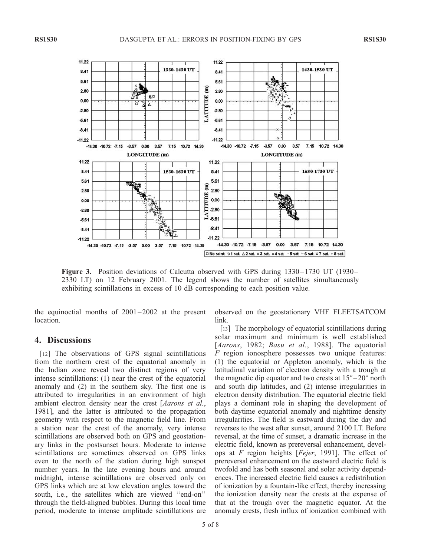

Figure 3. Position deviations of Calcutta observed with GPS during 1330–1730 UT (1930– 2330 LT) on 12 February 2001. The legend shows the number of satellites simultaneously exhibiting scintillations in excess of 10 dB corresponding to each position value.

the equinoctial months of  $2001 - 2002$  at the present location.

### 4. Discussions

[12] The observations of GPS signal scintillations from the northern crest of the equatorial anomaly in the Indian zone reveal two distinct regions of very intense scintillations: (1) near the crest of the equatorial anomaly and (2) in the southern sky. The first one is attributed to irregularities in an environment of high ambient electron density near the crest [*Aarons et al.*, 1981], and the latter is attributed to the propagation geometry with respect to the magnetic field line. From a station near the crest of the anomaly, very intense scintillations are observed both on GPS and geostationary links in the postsunset hours. Moderate to intense scintillations are sometimes observed on GPS links even to the north of the station during high sunspot number years. In the late evening hours and around midnight, intense scintillations are observed only on GPS links which are at low elevation angles toward the south, i.e., the satellites which are viewed ''end-on'' through the field-aligned bubbles. During this local time period, moderate to intense amplitude scintillations are observed on the geostationary VHF FLEETSATCOM link.

[13] The morphology of equatorial scintillations during solar maximum and minimum is well established [*Aarons*, 1982; *Basu et al.*, 1988]. The equatorial *F* region ionosphere possesses two unique features: (1) the equatorial or Appleton anomaly, which is the latitudinal variation of electron density with a trough at the magnetic dip equator and two crests at  $15^{\circ} - 20^{\circ}$  north and south dip latitudes, and (2) intense irregularities in electron density distribution. The equatorial electric field plays a dominant role in shaping the development of both daytime equatorial anomaly and nighttime density irregularities. The field is eastward during the day and reverses to the west after sunset, around 2100 LT. Before reversal, at the time of sunset, a dramatic increase in the electric field, known as prereversal enhancement, develops at *F* region heights [*Fejer*, 1991]. The effect of prereversal enhancement on the eastward electric field is twofold and has both seasonal and solar activity dependences. The increased electric field causes a redistribution of ionization by a fountain-like effect, thereby increasing the ionization density near the crests at the expense of that at the trough over the magnetic equator. At the anomaly crests, fresh influx of ionization combined with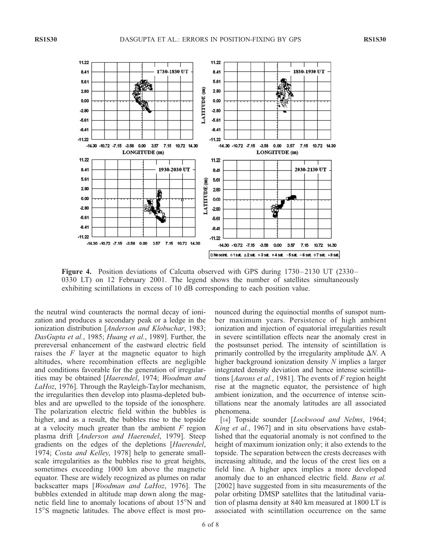

Figure 4. Position deviations of Calcutta observed with GPS during 1730–2130 UT (2330– 0330 LT) on 12 February 2001. The legend shows the number of satellites simultaneously exhibiting scintillations in excess of 10 dB corresponding to each position value.

the neutral wind counteracts the normal decay of ionization and produces a secondary peak or a ledge in the ionization distribution [*Anderson and Klobuchar*, 1983; *DasGupta et al.*, 1985; *Huang et al.*, 1989]. Further, the prereversal enhancement of the eastward electric field raises the *F* layer at the magnetic equator to high altitudes, where recombination effects are negligible and conditions favorable for the generation of irregularities may be obtained [*Haerendel*, 1974; *Woodman and LaHoz*, 1976]. Through the Rayleigh-Taylor mechanism, the irregularities then develop into plasma-depleted bubbles and are upwelled to the topside of the ionosphere. The polarization electric field within the bubbles is higher, and as a result, the bubbles rise to the topside at a velocity much greater than the ambient *F* region plasma drift [*Anderson and Haerendel*, 1979]. Steep gradients on the edges of the depletions [*Haerendel*, 1974; *Costa and Kelley*, 1978] help to generate smallscale irregularities as the bubbles rise to great heights, sometimes exceeding 1000 km above the magnetic equator. These are widely recognized as plumes on radar backscatter maps [*Woodman and LaHoz*, 1976]. The bubbles extended in altitude map down along the magnetic field line to anomaly locations of about  $15^{\circ}$ N and 15°S magnetic latitudes. The above effect is most pronounced during the equinoctial months of sunspot number maximum years. Persistence of high ambient ionization and injection of equatorial irregularities result in severe scintillation effects near the anomaly crest in the postsunset period. The intensity of scintillation is primarily controlled by the irregularity amplitude  $\Delta N$ . A higher background ionization density *N* implies a larger integrated density deviation and hence intense scintillations [*Aarons et al.*, 1981]. The events of *F* region height rise at the magnetic equator, the persistence of high ambient ionization, and the occurrence of intense scintillations near the anomaly latitudes are all associated phenomena.

[14] Topside sounder [*Lockwood and Nelms*, 1964; *King et al.*, 1967] and in situ observations have established that the equatorial anomaly is not confined to the height of maximum ionization only; it also extends to the topside. The separation between the crests decreases with increasing altitude, and the locus of the crest lies on a field line. A higher apex implies a more developed anomaly due to an enhanced electric field. *Basu et al.* [2002] have suggested from in situ measurements of the polar orbiting DMSP satellites that the latitudinal variation of plasma density at 840 km measured at 1800 LT is associated with scintillation occurrence on the same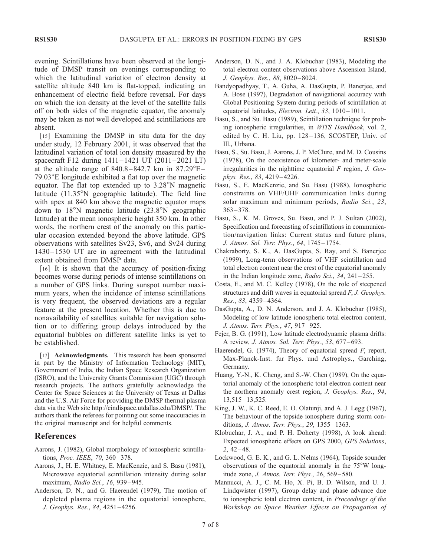evening. Scintillations have been observed at the longitude of DMSP transit on evenings corresponding to which the latitudinal variation of electron density at satellite altitude 840 km is flat-topped, indicating an enhancement of electric field before reversal. For days on which the ion density at the level of the satellite falls off on both sides of the magnetic equator, the anomaly may be taken as not well developed and scintillations are absent.

[15] Examining the DMSP in situ data for the day under study, 12 February 2001, it was observed that the latitudinal variation of total ion density measured by the spacecraft F12 during 1411 – 1421 UT (2011 – 2021 LT) at the altitude range of  $840.8 - 842.7$  km in  $87.29^{\circ}E-$ 79.03E longitude exhibited a flat top over the magnetic equator. The flat top extended up to  $3.28^{\circ}$ N magnetic latitude  $(11.35^{\circ}N)$  geographic latitude). The field line with apex at 840 km above the magnetic equator maps down to  $18^{\circ}$ N magnetic latitude (23.8°N geographic latitude) at the mean ionospheric height 350 km. In other words, the northern crest of the anomaly on this particular occasion extended beyond the above latitude. GPS observations with satellites Sv23, Sv6, and Sv24 during 1430 – 1530 UT are in agreement with the latitudinal extent obtained from DMSP data.

[16] It is shown that the accuracy of position-fixing becomes worse during periods of intense scintillations on a number of GPS links. During sunspot number maximum years, when the incidence of intense scintillations is very frequent, the observed deviations are a regular feature at the present location. Whether this is due to nonavailability of satellites suitable for navigation solution or to differing group delays introduced by the equatorial bubbles on different satellite links is yet to be established.

[17] **Acknowledgments.** This research has been sponsored in part by the Ministry of Information Technology (MIT), Government of India, the Indian Space Research Organization (ISRO), and the University Grants Commission (UGC) through research projects. The authors gratefully acknowledge the Center for Space Sciences at the University of Texas at Dallas and the U.S. Air Force for providing the DMSP thermal plasma data via the Web site http://cindispace.utdallas.edu/DMSP/. The authors thank the referees for pointing out some inaccuracies in the original manuscript and for helpful comments.

#### References

- Aarons, J. (1982), Global morphology of ionospheric scintillations, *Proc. IEEE*, 70, 360-378.
- Aarons, J., H. E. Whitney, E. MacKenzie, and S. Basu (1981), Microwave equatorial scintillation intensity during solar maximum, *Radio Sci.*, *16*, 939 – 945.
- Anderson, D. N., and G. Haerendel (1979), The motion of depleted plasma regions in the equatorial ionosphere, *J. Geophys. Res.*, *84*, 4251 – 4256.
- Anderson, D. N., and J. A. Klobuchar (1983), Modeling the total electron content observations above Ascension Island, *J. Geophys. Res.*, *88*, 8020 – 8024.
- Bandyopadhyay, T., A. Guha, A. DasGupta, P. Banerjee, and A. Bose (1997), Degradation of navigational accuracy with Global Positioning System during periods of scintillation at equatorial latitudes, *Electron. Lett.*, *33*, 1010 – 1011.
- Basu, S., and Su. Basu (1989), Scintillation technique for probing ionospheric irregularities, in *WITS Handbook*, vol. 2, edited by C. H. Liu, pp.  $128-136$ , SCOSTEP, Univ. of Ill., Urbana.
- Basu, S., Su. Basu, J. Aarons, J. P. McClure, and M. D. Cousins (1978), On the coexistence of kilometer- and meter-scale irregularities in the nighttime equatorial *F* region, *J. Geophys. Res.*, *83*, 4219 – 4226.
- Basu, S., E. MacKenzie, and Su. Basu (1988), Ionospheric constraints on VHF/UHF communication links during solar maximum and minimum periods, *Radio Sci.*, *23*,  $363 - 378$ .
- Basu, S., K. M. Groves, Su. Basu, and P. J. Sultan (2002), Specification and forecasting of scintillations in communication/navigation links: Current status and future plans, *J. Atmos. Sol. Terr. Phys.*, *64*, 1745 – 1754.
- Chakraborty, S. K., A. DasGupta, S. Ray, and S. Banerjee (1999), Long-term observations of VHF scintillation and total electron content near the crest of the equatorial anomaly in the Indian longitude zone, *Radio Sci.*, *34*, 241 – 255.
- Costa, E., and M. C. Kelley (1978), On the role of steepened structures and drift waves in equatorial spread *F*, *J. Geophys. Res.*, *83*, 4359 – 4364.
- DasGupta, A., D. N. Anderson, and J. A. Klobuchar (1985), Modeling of low latitude ionospheric total electron content, *J. Atmos. Terr. Phys.*, *47*, 917 – 925.
- Fejer, B. G. (1991), Low latitude electrodynamic plasma drifts: A review, *J. Atmos. Sol. Terr. Phys.*, *53*, 677 – 693.
- Haerendel, G. (1974), Theory of equatorial spread *F*, report, Max-Planck-Inst. fur Phys. und Astrophys., Garching, Germany.
- Huang, Y.-N., K. Cheng, and S.-W. Chen (1989), On the equatorial anomaly of the ionospheric total electron content near the northern anomaly crest region, *J. Geophys. Res.*, *94*, 13,515 – 13,525.
- King, J. W., K. C. Reed, E. O. Olatunji, and A. J. Legg (1967), The behaviour of the topside ionosphere during storm conditions, *J. Atmos. Terr. Phys.*, *29*, 1355 – 1363.
- Klobuchar, J. A., and P. H. Doherty (1998), A look ahead: Expected ionospheric effects on GPS 2000, *GPS Solutions*, *2*, 42 – 48.
- Lockwood, G. E. K., and G. L. Nelms (1964), Topside sounder observations of the equatorial anomaly in the  $75^{\circ}$ W longitude zone, *J. Atmos. Terr. Phys.*, *26*, 569 – 580.
- Mannucci, A. J., C. M. Ho, X. Pi, B. D. Wilson, and U. J. Lindqwister (1997), Group delay and phase advance due to ionospheric total electron content, in *Proceedings of the Workshop on Space Weather Effects on Propagation of*